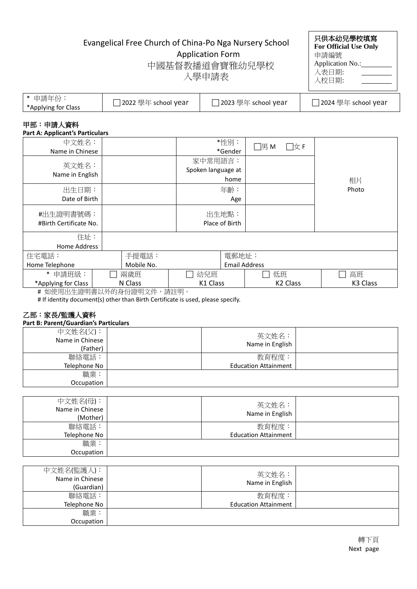# Evangelical Free Church of China-Po Nga Nursery School

Application Form

| וטטווטנ | <b>For Official Use Only</b> |
|---------|------------------------------|
|         | 申請編號                         |
| 恔       | Application No.:             |
|         | 入表日期:                        |
|         | 入校日期:                        |
|         |                              |

只供本幼兒學校填寫

| 中國基督教播道會寶雅幼兒學校 |  |  |
|----------------|--|--|

入學申請表

| 申請年份:<br>*Applying for Class | ]2022 學年 school year | ]2023 學年 school year | ] 2024 學年 school year |
|------------------------------|----------------------|----------------------|-----------------------|
|------------------------------|----------------------|----------------------|-----------------------|

## 甲部:申請人資料

| <b>Part A: Applicant's Particulars</b> |         |            |                    |          |                      |                      |          |
|----------------------------------------|---------|------------|--------------------|----------|----------------------|----------------------|----------|
| 中文姓名:                                  |         |            |                    | *性别:     | $\Box$ 男 M           | □女 F                 |          |
| Name in Chinese                        |         |            |                    | *Gender  |                      |                      |          |
|                                        |         |            | 家中常用語言:            |          |                      |                      |          |
| 英文姓名:                                  |         |            | Spoken language at |          |                      |                      |          |
| Name in English                        |         |            |                    | home     |                      |                      | 相片       |
| 出生日期:                                  |         |            |                    | 年齡:      |                      |                      | Photo    |
| Date of Birth                          |         |            |                    | Age      |                      |                      |          |
| #出生證明書號碼:                              |         | 出生地點:      |                    |          |                      |                      |          |
| #Birth Certificate No.                 |         |            | Place of Birth     |          |                      |                      |          |
| 住址:                                    |         |            |                    |          |                      |                      |          |
| Home Address                           |         |            |                    |          |                      |                      |          |
| 住宅電話:                                  |         | 手提電話:      |                    | 電郵地址:    |                      |                      |          |
| Home Telephone                         |         | Mobile No. |                    |          | <b>Email Address</b> |                      |          |
| $\ast$<br>申請班級:                        |         | 兩歲班        | 幼兒班                |          | 低班                   |                      | 高班       |
| *Applying for Class                    | N Class |            |                    | K1 Class |                      | K <sub>2</sub> Class | K3 Class |
| # 如使用出生證明書以外的身份證明文件                    |         |            | ,請註明。              |          |                      |                      |          |

# If identity document(s) other than Birth Certificate is used, please specify.

## 乙部:家長**/**監護人資料

|  |  | Part B: Parent/Guardian's Particulars |  |
|--|--|---------------------------------------|--|
|--|--|---------------------------------------|--|

| 中文姓名(父):<br>Name in Chinese<br>(Father) | 英文姓名:<br>Name in English    |  |
|-----------------------------------------|-----------------------------|--|
| 聯絡電話:                                   | 教育程度:                       |  |
| Telephone No                            | <b>Education Attainment</b> |  |
| 職業:                                     |                             |  |
| Occupation                              |                             |  |

| 中文姓名(母):<br>Name in Chinese<br>(Mother) | 英文姓名:<br>Name in English    |  |
|-----------------------------------------|-----------------------------|--|
| 聯絡電話:                                   | 教育程度:                       |  |
| Telephone No                            | <b>Education Attainment</b> |  |
| 職業:                                     |                             |  |
| Occupation                              |                             |  |

| 中文姓名(監護人):<br>Name in Chinese<br>(Guardian) | 英文姓名:<br>Name in English    |  |
|---------------------------------------------|-----------------------------|--|
| 聯絡電話:                                       | 教育程度:                       |  |
| Telephone No                                | <b>Education Attainment</b> |  |
| 職業:                                         |                             |  |
| Occupation                                  |                             |  |